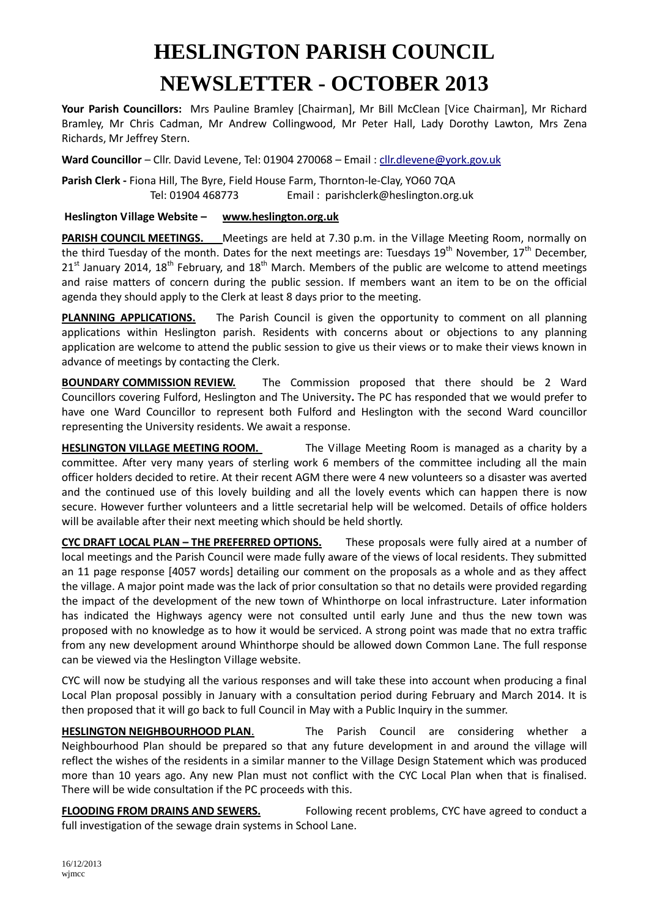## **HESLINGTON PARISH COUNCIL NEWSLETTER - OCTOBER 2013**

**Your Parish Councillors:** Mrs Pauline Bramley [Chairman], Mr Bill McClean [Vice Chairman], Mr Richard Bramley, Mr Chris Cadman, Mr Andrew Collingwood, Mr Peter Hall, Lady Dorothy Lawton, Mrs Zena Richards, Mr Jeffrey Stern.

**Ward Councillor** – Cllr. David Levene, Tel: 01904 270068 – Email : [cllr.dlevene@york.gov.uk](mailto:cllr.dlevene@york.gov.uk)

**Parish Clerk -** Fiona Hill, The Byre, Field House Farm, Thornton-le-Clay, YO60 7QA Tel: 01904 468773 Email : parishclerk@heslington.org.uk

**Heslington Village Website – [www.heslington.org.uk](http://www.heslington.org.uk/)**

**PARISH COUNCIL MEETINGS.** Meetings are held at 7.30 p.m. in the Village Meeting Room, normally on the third Tuesday of the month. Dates for the next meetings are: Tuesdays  $19<sup>th</sup>$  November,  $17<sup>th</sup>$  December,  $21<sup>st</sup>$  January 2014, 18<sup>th</sup> February, and 18<sup>th</sup> March. Members of the public are welcome to attend meetings and raise matters of concern during the public session. If members want an item to be on the official agenda they should apply to the Clerk at least 8 days prior to the meeting.

**PLANNING APPLICATIONS.** The Parish Council is given the opportunity to comment on all planning applications within Heslington parish. Residents with concerns about or objections to any planning application are welcome to attend the public session to give us their views or to make their views known in advance of meetings by contacting the Clerk.

**BOUNDARY COMMISSION REVIEW.** The Commission proposed that there should be 2 Ward Councillors covering Fulford, Heslington and The University**.** The PC has responded that we would prefer to have one Ward Councillor to represent both Fulford and Heslington with the second Ward councillor representing the University residents. We await a response.

**HESLINGTON VILLAGE MEETING ROOM.** The Village Meeting Room is managed as a charity by a committee. After very many years of sterling work 6 members of the committee including all the main officer holders decided to retire. At their recent AGM there were 4 new volunteers so a disaster was averted and the continued use of this lovely building and all the lovely events which can happen there is now secure. However further volunteers and a little secretarial help will be welcomed. Details of office holders will be available after their next meeting which should be held shortly.

**CYC DRAFT LOCAL PLAN – THE PREFERRED OPTIONS.** These proposals were fully aired at a number of local meetings and the Parish Council were made fully aware of the views of local residents. They submitted an 11 page response [4057 words] detailing our comment on the proposals as a whole and as they affect the village. A major point made was the lack of prior consultation so that no details were provided regarding the impact of the development of the new town of Whinthorpe on local infrastructure. Later information has indicated the Highways agency were not consulted until early June and thus the new town was proposed with no knowledge as to how it would be serviced. A strong point was made that no extra traffic from any new development around Whinthorpe should be allowed down Common Lane. The full response can be viewed via the Heslington Village website.

CYC will now be studying all the various responses and will take these into account when producing a final Local Plan proposal possibly in January with a consultation period during February and March 2014. It is then proposed that it will go back to full Council in May with a Public Inquiry in the summer.

**HESLINGTON NEIGHBOURHOOD PLAN**. The Parish Council are considering whether a Neighbourhood Plan should be prepared so that any future development in and around the village will reflect the wishes of the residents in a similar manner to the Village Design Statement which was produced more than 10 years ago. Any new Plan must not conflict with the CYC Local Plan when that is finalised. There will be wide consultation if the PC proceeds with this.

**FLOODING FROM DRAINS AND SEWERS.** Following recent problems, CYC have agreed to conduct a full investigation of the sewage drain systems in School Lane.